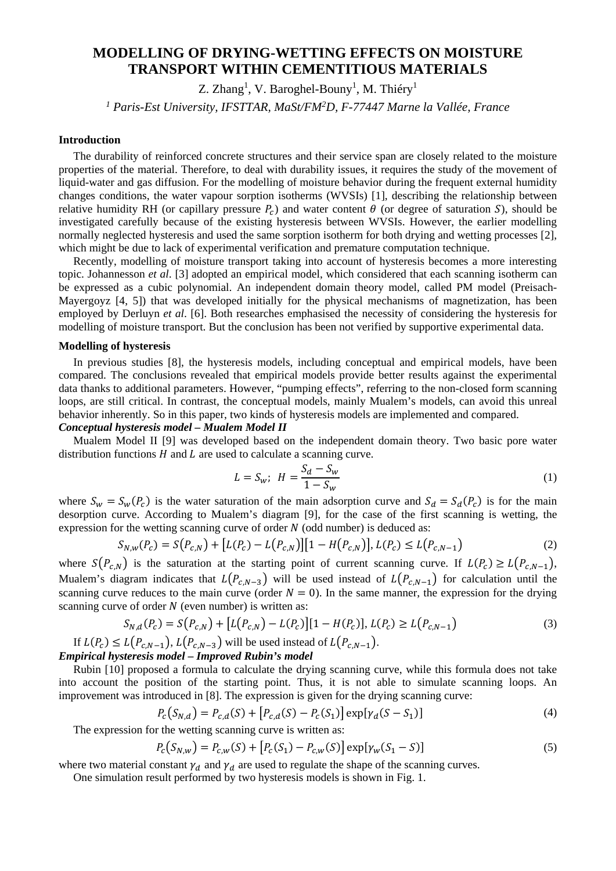# **MODELLING OF DRYING-WETTING EFFECTS ON MOISTURE TRANSPORT WITHIN CEMENTITIOUS MATERIALS**

Z. Zhang<sup>1</sup>, V. Baroghel-Bouny<sup>1</sup>, M. Thiéry<sup>1</sup>

*1 Paris-Est University, IFSTTAR, MaSt/FM2D, F-77447 Marne la Vallée, France*

# **Introduction**

The durability of reinforced concrete structures and their service span are closely related to the moisture properties of the material. Therefore, to deal with durability issues, it requires the study of the movement of liquid-water and gas diffusion. For the modelling of moisture behavior during the frequent external humidity changes conditions, the water vapour sorption isotherms (WVSIs) [1], describing the relationship between relative humidity RH (or capillary pressure  $P_c$ ) and water content  $\theta$  (or degree of saturation S), should be investigated carefully because of the existing hysteresis between WVSIs. However, the earlier modelling normally neglected hysteresis and used the same sorption isotherm for both drying and wetting processes [2], which might be due to lack of experimental verification and premature computation technique.

Recently, modelling of moisture transport taking into account of hysteresis becomes a more interesting topic. Johannesson *et al*. [3] adopted an empirical model, which considered that each scanning isotherm can be expressed as a cubic polynomial. An independent domain theory model, called PM model (Preisach-Mayergoyz [4, 5]) that was developed initially for the physical mechanisms of magnetization, has been employed by Derluyn *et al*. [6]. Both researches emphasised the necessity of considering the hysteresis for modelling of moisture transport. But the conclusion has been not verified by supportive experimental data.

## **Modelling of hysteresis**

In previous studies [8], the hysteresis models, including conceptual and empirical models, have been compared. The conclusions revealed that empirical models provide better results against the experimental data thanks to additional parameters. However, "pumping effects", referring to the non-closed form scanning loops, are still critical. In contrast, the conceptual models, mainly Mualem's models, can avoid this unreal behavior inherently. So in this paper, two kinds of hysteresis models are implemented and compared.

## *Conceptual hysteresis model – Mualem Model II*

Mualem Model II [9] was developed based on the independent domain theory. Two basic pore water distribution functions  $H$  and  $L$  are used to calculate a scanning curve.

$$
L = S_w; \ H = \frac{S_d - S_w}{1 - S_w} \tag{1}
$$

where  $S_w = S_w(P_c)$  is the water saturation of the main adsorption curve and  $S_d = S_d(P_c)$  is for the main desorption curve. According to Mualem's diagram [9], for the case of the first scanning is wetting, the expression for the wetting scanning curve of order  $N$  (odd number) is deduced as:

$$
S_{N,W}(P_c) = S(P_{c,N}) + [L(P_c) - L(P_{c,N})][1 - H(P_{c,N})], L(P_c) \le L(P_{c,N-1})
$$
\n(2)

where  $S(P_{c,N})$  is the saturation at the starting point of current scanning curve. If  $L(P_c) \geq L(P_{c,N-1})$ , Mualem's diagram indicates that  $L(P_{c,N-3})$  will be used instead of  $L(P_{c,N-1})$  for calculation until the scanning curve reduces to the main curve (order  $N = 0$ ). In the same manner, the expression for the drying scanning curve of order  $N$  (even number) is written as:

$$
S_{N,d}(P_c) = S(P_{c,N}) + [L(P_{c,N}) - L(P_c)][1 - H(P_c)], L(P_c) \ge L(P_{c,N-1})
$$
\n(3)

If  $L(P_c) \leq L(P_{c,N-1}), L(P_{c,N-3})$  will be used instead of  $L(P_{c,N-1})$ . *Empirical hysteresis model – Improved Rubin's model* 

Rubin [10] proposed a formula to calculate the drying scanning curve, while this formula does not take into account the position of the starting point. Thus, it is not able to simulate scanning loops. An improvement was introduced in [8]. The expression is given for the drying scanning curve:

$$
P_c(S_{N,d}) = P_{c,d}(S) + [P_{c,d}(S) - P_c(S_1)] \exp[\gamma_d(S - S_1)]
$$
\n(4)

The expression for the wetting scanning curve is written as:

$$
P_c(S_{N,w}) = P_{c,w}(S) + [P_c(S_1) - P_{c,w}(S)] \exp[\gamma_w(S_1 - S)] \tag{5}
$$

where two material constant  $\gamma_d$  and  $\gamma_d$  are used to regulate the shape of the scanning curves.

One simulation result performed by two hysteresis models is shown in Fig. 1.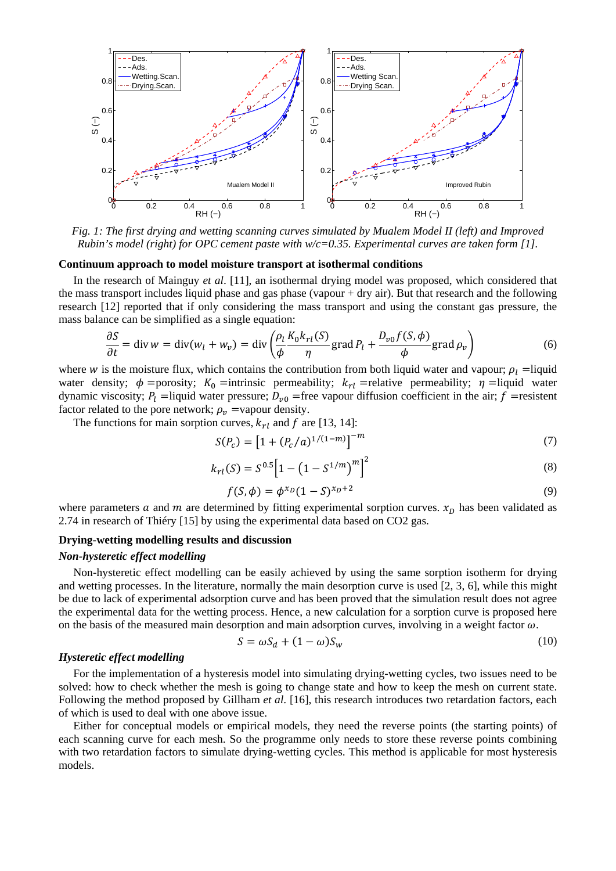

*Fig. 1: The first drying and wetting scanning curves simulated by Mualem Model II (left) and Improved Rubin's model (right) for OPC cement paste with w/c=0.35. Experimental curves are taken form [1].* 

### **Continuum approach to model moisture transport at isothermal conditions**

In the research of Mainguy *et al*. [11], an isothermal drying model was proposed, which considered that the mass transport includes liquid phase and gas phase (vapour + dry air). But that research and the following research [12] reported that if only considering the mass transport and using the constant gas pressure, the mass balance can be simplified as a single equation:

$$
\frac{\partial S}{\partial t} = \text{div}\,w = \text{div}(w_l + w_v) = \text{div}\left(\frac{\rho_l}{\phi} \frac{K_0 k_{rl}(S)}{\eta} \text{grad}\,P_l + \frac{D_{\nu 0} f(S, \phi)}{\phi} \text{grad}\,\rho_v\right) \tag{6}
$$

where w is the moisture flux, which contains the contribution from both liquid water and vapour;  $\rho_l$  = liquid water density;  $\phi$  =porosity;  $K_0$  =intrinsic permeability;  $k_{rl}$  =relative permeability;  $\eta$  =liquid water dynamic viscosity;  $P_l$  =liquid water pressure;  $D_{v0}$  =free vapour diffusion coefficient in the air; f =resistent factor related to the pore network;  $\rho_v$  =vapour density.

The functions for main sorption curves,  $k_{rl}$  and f are [13, 14]:

$$
S(P_c) = [1 + (P_c/a)^{1/(1-m)}]^{-m}
$$
 (7)

$$
k_{rl}(S) = S^{0.5} \left[ 1 - \left( 1 - S^{1/m} \right)^m \right]^2 \tag{8}
$$

$$
f(S, \phi) = \phi^{x_D} (1 - S)^{x_D + 2}
$$
 (9)

where parameters  $a$  and  $m$  are determined by fitting experimental sorption curves.  $x<sub>D</sub>$  has been validated as 2.74 in research of Thiéry [15] by using the experimental data based on CO2 gas.

## **Drying-wetting modelling results and discussion**

## *Non-hysteretic effect modelling*

Non-hysteretic effect modelling can be easily achieved by using the same sorption isotherm for drying and wetting processes. In the literature, normally the main desorption curve is used [2, 3, 6], while this might be due to lack of experimental adsorption curve and has been proved that the simulation result does not agree the experimental data for the wetting process. Hence, a new calculation for a sorption curve is proposed here on the basis of the measured main desorption and main adsorption curves, involving in a weight factor  $\omega$ .

$$
S = \omega S_d + (1 - \omega) S_w \tag{10}
$$

#### *Hysteretic effect modelling*

For the implementation of a hysteresis model into simulating drying-wetting cycles, two issues need to be solved: how to check whether the mesh is going to change state and how to keep the mesh on current state. Following the method proposed by Gillham *et al*. [16], this research introduces two retardation factors, each of which is used to deal with one above issue.

Either for conceptual models or empirical models, they need the reverse points (the starting points) of each scanning curve for each mesh. So the programme only needs to store these reverse points combining with two retardation factors to simulate drying-wetting cycles. This method is applicable for most hysteresis models.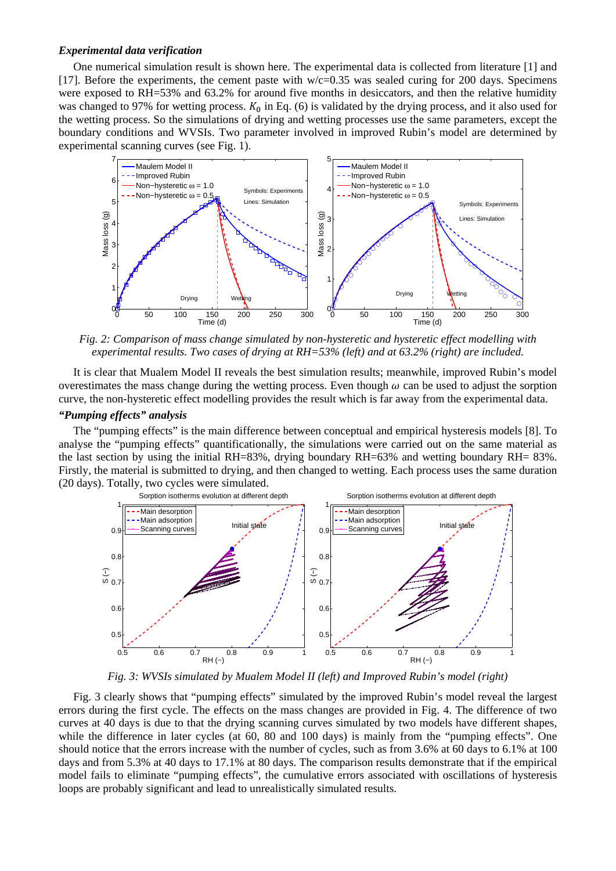## *Experimental data verification*

One numerical simulation result is shown here. The experimental data is collected from literature [1] and [17]. Before the experiments, the cement paste with  $w/c=0.35$  was sealed curing for 200 days. Specimens were exposed to RH=53% and 63.2% for around five months in desiccators, and then the relative humidity was changed to 97% for wetting process.  $K_0$  in Eq. (6) is validated by the drying process, and it also used for the wetting process. So the simulations of drying and wetting processes use the same parameters, except the boundary conditions and WVSIs. Two parameter involved in improved Rubin's model are determined by experimental scanning curves (see Fig. 1).



*Fig. 2: Comparison of mass change simulated by non-hysteretic and hysteretic effect modelling with experimental results. Two cases of drying at RH=53% (left) and at 63.2% (right) are included.* 

It is clear that Mualem Model II reveals the best simulation results; meanwhile, improved Rubin's model overestimates the mass change during the wetting process. Even though  $\omega$  can be used to adjust the sorption curve, the non-hysteretic effect modelling provides the result which is far away from the experimental data.

# *"Pumping effects" analysis*

The "pumping effects" is the main difference between conceptual and empirical hysteresis models [8]. To analyse the "pumping effects" quantificationally, the simulations were carried out on the same material as the last section by using the initial RH=83%, drying boundary RH=63% and wetting boundary RH= 83%. Firstly, the material is submitted to drying, and then changed to wetting. Each process uses the same duration (20 days). Totally, two cycles were simulated.



*Fig. 3: WVSIs simulated by Mualem Model II (left) and Improved Rubin's model (right)* 

Fig. 3 clearly shows that "pumping effects" simulated by the improved Rubin's model reveal the largest errors during the first cycle. The effects on the mass changes are provided in Fig. 4. The difference of two curves at 40 days is due to that the drying scanning curves simulated by two models have different shapes, while the difference in later cycles (at 60, 80 and 100 days) is mainly from the "pumping effects". One should notice that the errors increase with the number of cycles, such as from 3.6% at 60 days to 6.1% at 100 days and from 5.3% at 40 days to 17.1% at 80 days. The comparison results demonstrate that if the empirical model fails to eliminate "pumping effects", the cumulative errors associated with oscillations of hysteresis loops are probably significant and lead to unrealistically simulated results.